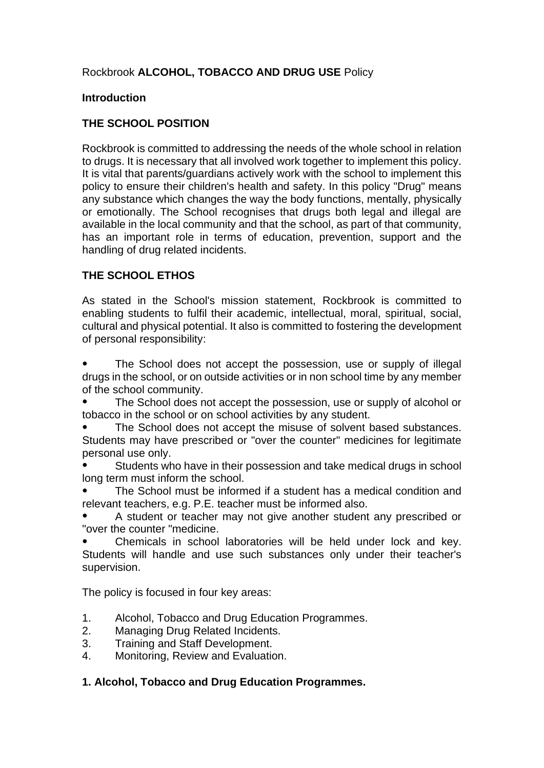# Rockbrook **ALCOHOL, TOBACCO AND DRUG USE** Policy

## **Introduction**

# **THE SCHOOL POSITION**

Rockbrook is committed to addressing the needs of the whole school in relation to drugs. It is necessary that all involved work together to implement this policy. It is vital that parents/guardians actively work with the school to implement this policy to ensure their children's health and safety. In this policy "Drug" means any substance which changes the way the body functions, mentally, physically or emotionally. The School recognises that drugs both legal and illegal are available in the local community and that the school, as part of that community, has an important role in terms of education, prevention, support and the handling of drug related incidents.

# **THE SCHOOL ETHOS**

As stated in the School's mission statement, Rockbrook is committed to enabling students to fulfil their academic, intellectual, moral, spiritual, social, cultural and physical potential. It also is committed to fostering the development of personal responsibility:

The School does not accept the possession, use or supply of illegal drugs in the school, or on outside activities or in non school time by any member of the school community.

The School does not accept the possession, use or supply of alcohol or tobacco in the school or on school activities by any student.

The School does not accept the misuse of solvent based substances. Students may have prescribed or "over the counter" medicines for legitimate personal use only.

Students who have in their possession and take medical drugs in school long term must inform the school.

The School must be informed if a student has a medical condition and relevant teachers, e.g. P.E. teacher must be informed also.

A student or teacher may not give another student any prescribed or "over the counter "medicine.

Chemicals in school laboratories will be held under lock and key. Students will handle and use such substances only under their teacher's supervision.

The policy is focused in four key areas:

- 1. Alcohol, Tobacco and Drug Education Programmes.
- 2. Managing Drug Related Incidents.
- 3. Training and Staff Development.
- 4. Monitoring, Review and Evaluation.

# **1. Alcohol, Tobacco and Drug Education Programmes.**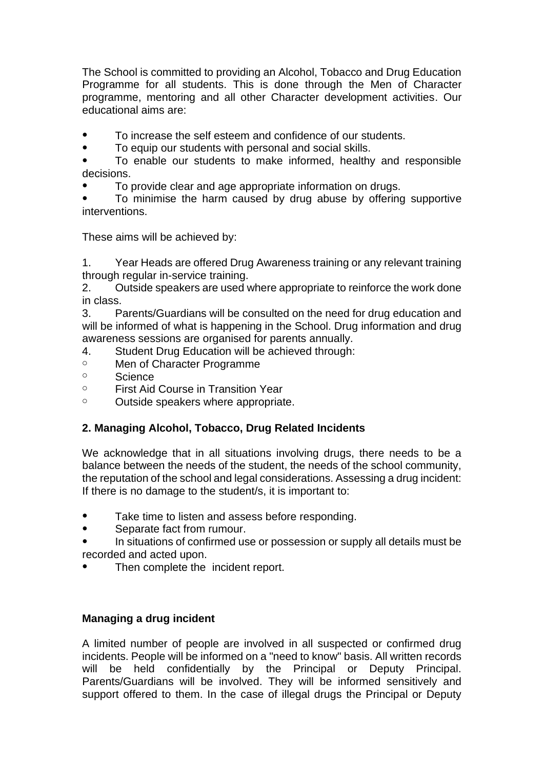The School is committed to providing an Alcohol, Tobacco and Drug Education Programme for all students. This is done through the Men of Character programme, mentoring and all other Character development activities. Our educational aims are:

To increase the self esteem and confidence of our students.

● To equip our students with personal and social skills.

To enable our students to make informed, healthy and responsible decisions.

To provide clear and age appropriate information on drugs.

To minimise the harm caused by drug abuse by offering supportive interventions.

These aims will be achieved by:

1. Year Heads are offered Drug Awareness training or any relevant training through regular in-service training.

2. Outside speakers are used where appropriate to reinforce the work done in class.

3. Parents/Guardians will be consulted on the need for drug education and will be informed of what is happening in the School. Drug information and drug awareness sessions are organised for parents annually.

- 4. Student Drug Education will be achieved through:
- o Men of Character Programme
- o Science
- o First Aid Course in Transition Year
- o Outside speakers where appropriate.

# **2. Managing Alcohol, Tobacco, Drug Related Incidents**

We acknowledge that in all situations involving drugs, there needs to be a balance between the needs of the student, the needs of the school community, the reputation of the school and legal considerations. Assessing a drug incident: If there is no damage to the student/s, it is important to:

- Take time to listen and assess before responding.
- Separate fact from rumour.
- In situations of confirmed use or possession or supply all details must be recorded and acted upon.
- Then complete the incident report.

## **Managing a drug incident**

A limited number of people are involved in all suspected or confirmed drug incidents. People will be informed on a "need to know" basis. All written records will be held confidentially by the Principal or Deputy Principal. Parents/Guardians will be involved. They will be informed sensitively and support offered to them. In the case of illegal drugs the Principal or Deputy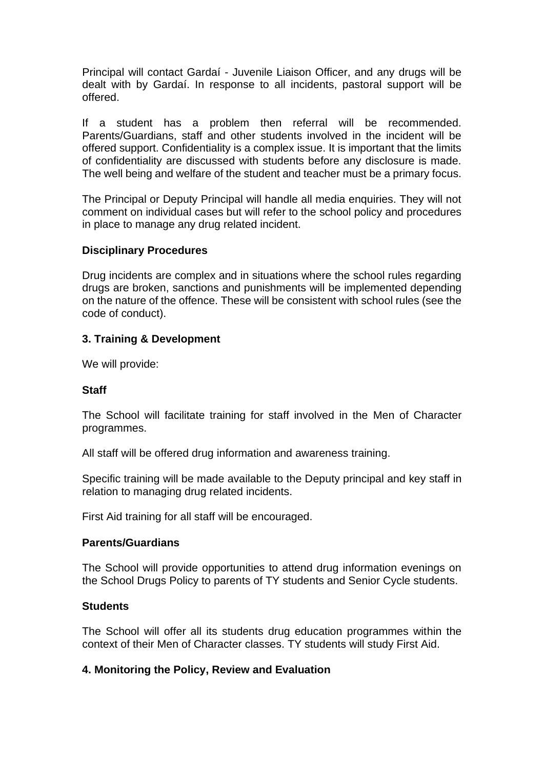Principal will contact Gardaí - Juvenile Liaison Officer, and any drugs will be dealt with by Gardaí. In response to all incidents, pastoral support will be offered.

If a student has a problem then referral will be recommended. Parents/Guardians, staff and other students involved in the incident will be offered support. Confidentiality is a complex issue. It is important that the limits of confidentiality are discussed with students before any disclosure is made. The well being and welfare of the student and teacher must be a primary focus.

The Principal or Deputy Principal will handle all media enquiries. They will not comment on individual cases but will refer to the school policy and procedures in place to manage any drug related incident.

## **Disciplinary Procedures**

Drug incidents are complex and in situations where the school rules regarding drugs are broken, sanctions and punishments will be implemented depending on the nature of the offence. These will be consistent with school rules (see the code of conduct).

## **3. Training & Development**

We will provide:

## **Staff**

The School will facilitate training for staff involved in the Men of Character programmes.

All staff will be offered drug information and awareness training.

Specific training will be made available to the Deputy principal and key staff in relation to managing drug related incidents.

First Aid training for all staff will be encouraged.

## **Parents/Guardians**

The School will provide opportunities to attend drug information evenings on the School Drugs Policy to parents of TY students and Senior Cycle students.

## **Students**

The School will offer all its students drug education programmes within the context of their Men of Character classes. TY students will study First Aid.

## **4. Monitoring the Policy, Review and Evaluation**